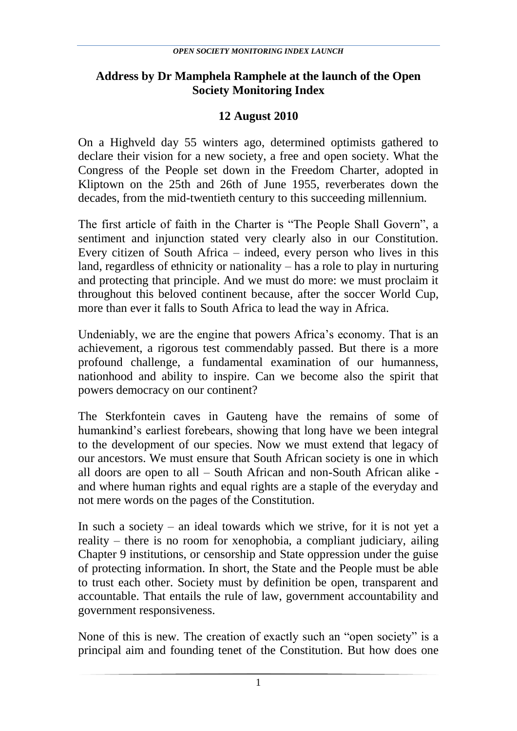## **Address by Dr Mamphela Ramphele at the launch of the Open Society Monitoring Index**

## **12 August 2010**

On a Highveld day 55 winters ago, determined optimists gathered to declare their vision for a new society, a free and open society. What the Congress of the People set down in the Freedom Charter, adopted in Kliptown on the 25th and 26th of June 1955, reverberates down the decades, from the mid-twentieth century to this succeeding millennium.

The first article of faith in the Charter is "The People Shall Govern", a sentiment and injunction stated very clearly also in our Constitution. Every citizen of South Africa – indeed, every person who lives in this land, regardless of ethnicity or nationality – has a role to play in nurturing and protecting that principle. And we must do more: we must proclaim it throughout this beloved continent because, after the soccer World Cup, more than ever it falls to South Africa to lead the way in Africa.

Undeniably, we are the engine that powers Africa's economy. That is an achievement, a rigorous test commendably passed. But there is a more profound challenge, a fundamental examination of our humanness, nationhood and ability to inspire. Can we become also the spirit that powers democracy on our continent?

The Sterkfontein caves in Gauteng have the remains of some of humankind"s earliest forebears, showing that long have we been integral to the development of our species. Now we must extend that legacy of our ancestors. We must ensure that South African society is one in which all doors are open to all – South African and non-South African alike and where human rights and equal rights are a staple of the everyday and not mere words on the pages of the Constitution.

In such a society – an ideal towards which we strive, for it is not yet a reality – there is no room for xenophobia, a compliant judiciary, ailing Chapter 9 institutions, or censorship and State oppression under the guise of protecting information. In short, the State and the People must be able to trust each other. Society must by definition be open, transparent and accountable. That entails the rule of law, government accountability and government responsiveness.

None of this is new. The creation of exactly such an "open society" is a principal aim and founding tenet of the Constitution. But how does one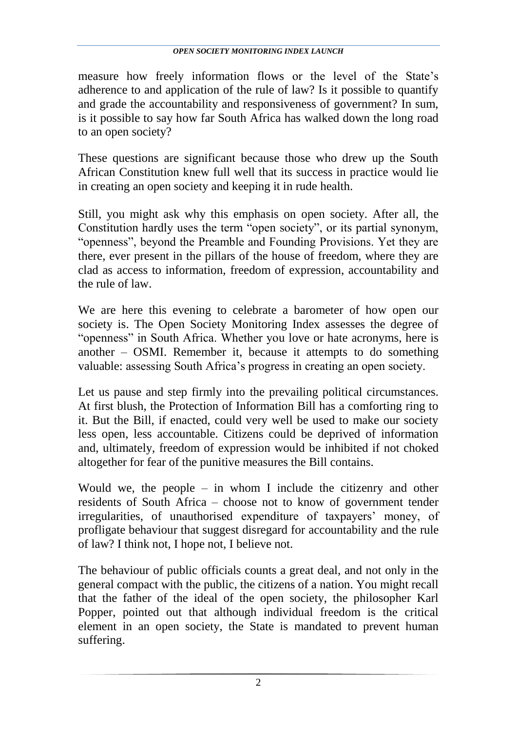measure how freely information flows or the level of the State's adherence to and application of the rule of law? Is it possible to quantify and grade the accountability and responsiveness of government? In sum, is it possible to say how far South Africa has walked down the long road to an open society?

These questions are significant because those who drew up the South African Constitution knew full well that its success in practice would lie in creating an open society and keeping it in rude health.

Still, you might ask why this emphasis on open society. After all, the Constitution hardly uses the term "open society", or its partial synonym, "openness", beyond the Preamble and Founding Provisions. Yet they are there, ever present in the pillars of the house of freedom, where they are clad as access to information, freedom of expression, accountability and the rule of law.

We are here this evening to celebrate a barometer of how open our society is. The Open Society Monitoring Index assesses the degree of "openness" in South Africa. Whether you love or hate acronyms, here is another – OSMI. Remember it, because it attempts to do something valuable: assessing South Africa"s progress in creating an open society.

Let us pause and step firmly into the prevailing political circumstances. At first blush, the Protection of Information Bill has a comforting ring to it. But the Bill, if enacted, could very well be used to make our society less open, less accountable. Citizens could be deprived of information and, ultimately, freedom of expression would be inhibited if not choked altogether for fear of the punitive measures the Bill contains.

Would we, the people – in whom I include the citizenry and other residents of South Africa – choose not to know of government tender irregularities, of unauthorised expenditure of taxpayers' money, of profligate behaviour that suggest disregard for accountability and the rule of law? I think not, I hope not, I believe not.

The behaviour of public officials counts a great deal, and not only in the general compact with the public, the citizens of a nation. You might recall that the father of the ideal of the open society, the philosopher Karl Popper, pointed out that although individual freedom is the critical element in an open society, the State is mandated to prevent human suffering.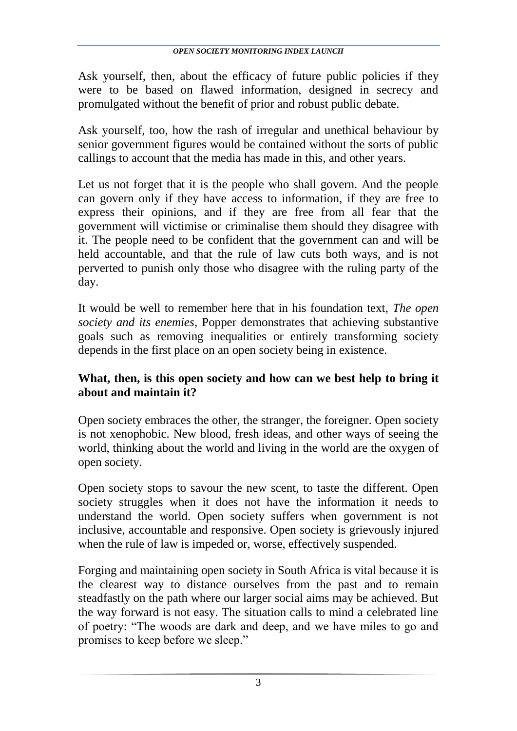Ask yourself, then, about the efficacy of future public policies if they were to be based on flawed information, designed in secrecy and promulgated without the benefit of prior and robust public debate.

Ask yourself, too, how the rash of irregular and unethical behaviour by senior government figures would be contained without the sorts of public callings to account that the media has made in this, and other years.

Let us not forget that it is the people who shall govern. And the people can govern only if they have access to information, if they are free to express their opinions, and if they are free from all fear that the government will victimise or criminalise them should they disagree with it. The people need to be confident that the government can and will be held accountable, and that the rule of law cuts both ways, and is not perverted to punish only those who disagree with the ruling party of the day.

It would be well to remember here that in his foundation text, *The open society and its enemies*, Popper demonstrates that achieving substantive goals such as removing inequalities or entirely transforming society depends in the first place on an open society being in existence.

## **What, then, is this open society and how can we best help to bring it about and maintain it?**

Open society embraces the other, the stranger, the foreigner. Open society is not xenophobic. New blood, fresh ideas, and other ways of seeing the world, thinking about the world and living in the world are the oxygen of open society.

Open society stops to savour the new scent, to taste the different. Open society struggles when it does not have the information it needs to understand the world. Open society suffers when government is not inclusive, accountable and responsive. Open society is grievously injured when the rule of law is impeded or, worse, effectively suspended.

Forging and maintaining open society in South Africa is vital because it is the clearest way to distance ourselves from the past and to remain steadfastly on the path where our larger social aims may be achieved. But the way forward is not easy. The situation calls to mind a celebrated line of poetry: "The woods are dark and deep, and we have miles to go and promises to keep before we sleep."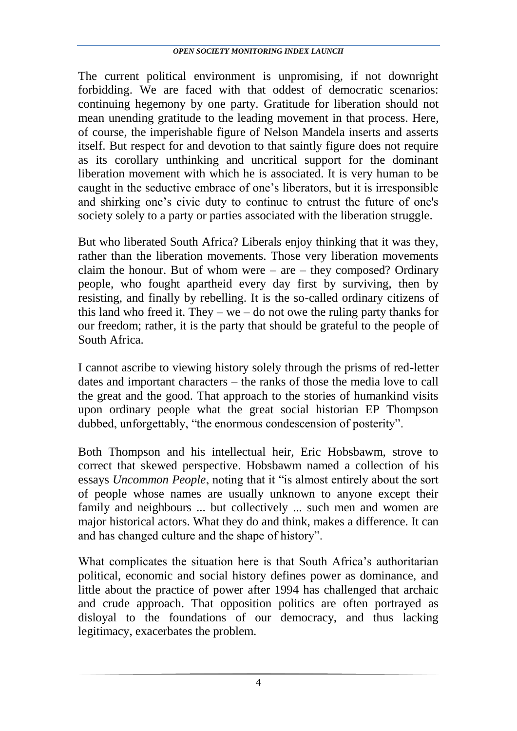The current political environment is unpromising, if not downright forbidding. We are faced with that oddest of democratic scenarios: continuing hegemony by one party. Gratitude for liberation should not mean unending gratitude to the leading movement in that process. Here, of course, the imperishable figure of Nelson Mandela inserts and asserts itself. But respect for and devotion to that saintly figure does not require as its corollary unthinking and uncritical support for the dominant liberation movement with which he is associated. It is very human to be caught in the seductive embrace of one"s liberators, but it is irresponsible and shirking one"s civic duty to continue to entrust the future of one's society solely to a party or parties associated with the liberation struggle.

But who liberated South Africa? Liberals enjoy thinking that it was they, rather than the liberation movements. Those very liberation movements claim the honour. But of whom were  $-$  are  $-$  they composed? Ordinary people, who fought apartheid every day first by surviving, then by resisting, and finally by rebelling. It is the so-called ordinary citizens of this land who freed it. They – we – do not owe the ruling party thanks for our freedom; rather, it is the party that should be grateful to the people of South Africa.

I cannot ascribe to viewing history solely through the prisms of red-letter dates and important characters – the ranks of those the media love to call the great and the good. That approach to the stories of humankind visits upon ordinary people what the great social historian EP Thompson dubbed, unforgettably, "the enormous condescension of posterity".

Both Thompson and his intellectual heir, Eric Hobsbawm, strove to correct that skewed perspective. Hobsbawm named a collection of his essays *Uncommon People*, noting that it "is almost entirely about the sort of people whose names are usually unknown to anyone except their family and neighbours ... but collectively ... such men and women are major historical actors. What they do and think, makes a difference. It can and has changed culture and the shape of history".

What complicates the situation here is that South Africa"s authoritarian political, economic and social history defines power as dominance, and little about the practice of power after 1994 has challenged that archaic and crude approach. That opposition politics are often portrayed as disloyal to the foundations of our democracy, and thus lacking legitimacy, exacerbates the problem.

4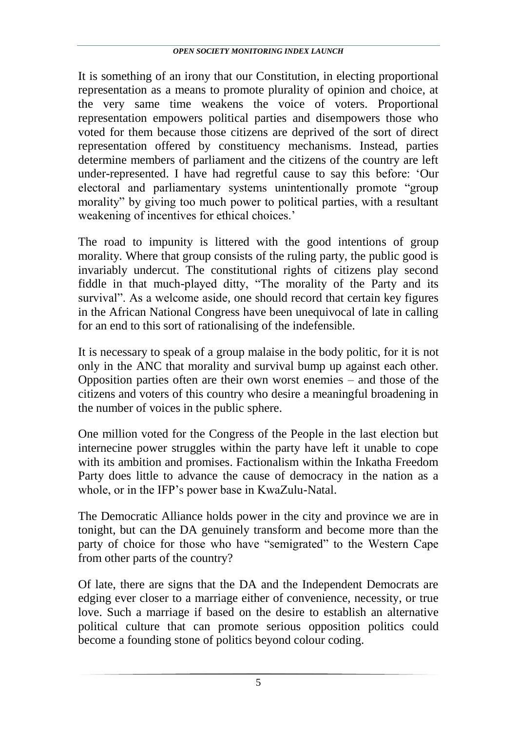It is something of an irony that our Constitution, in electing proportional representation as a means to promote plurality of opinion and choice, at the very same time weakens the voice of voters. Proportional representation empowers political parties and disempowers those who voted for them because those citizens are deprived of the sort of direct representation offered by constituency mechanisms. Instead, parties determine members of parliament and the citizens of the country are left under-represented. I have had regretful cause to say this before: "Our electoral and parliamentary systems unintentionally promote "group morality" by giving too much power to political parties, with a resultant weakening of incentives for ethical choices.'

The road to impunity is littered with the good intentions of group morality. Where that group consists of the ruling party, the public good is invariably undercut. The constitutional rights of citizens play second fiddle in that much-played ditty, "The morality of the Party and its survival". As a welcome aside, one should record that certain key figures in the African National Congress have been unequivocal of late in calling for an end to this sort of rationalising of the indefensible.

It is necessary to speak of a group malaise in the body politic, for it is not only in the ANC that morality and survival bump up against each other. Opposition parties often are their own worst enemies – and those of the citizens and voters of this country who desire a meaningful broadening in the number of voices in the public sphere.

One million voted for the Congress of the People in the last election but internecine power struggles within the party have left it unable to cope with its ambition and promises. Factionalism within the Inkatha Freedom Party does little to advance the cause of democracy in the nation as a whole, or in the IFP's power base in KwaZulu-Natal.

The Democratic Alliance holds power in the city and province we are in tonight, but can the DA genuinely transform and become more than the party of choice for those who have "semigrated" to the Western Cape from other parts of the country?

Of late, there are signs that the DA and the Independent Democrats are edging ever closer to a marriage either of convenience, necessity, or true love. Such a marriage if based on the desire to establish an alternative political culture that can promote serious opposition politics could become a founding stone of politics beyond colour coding.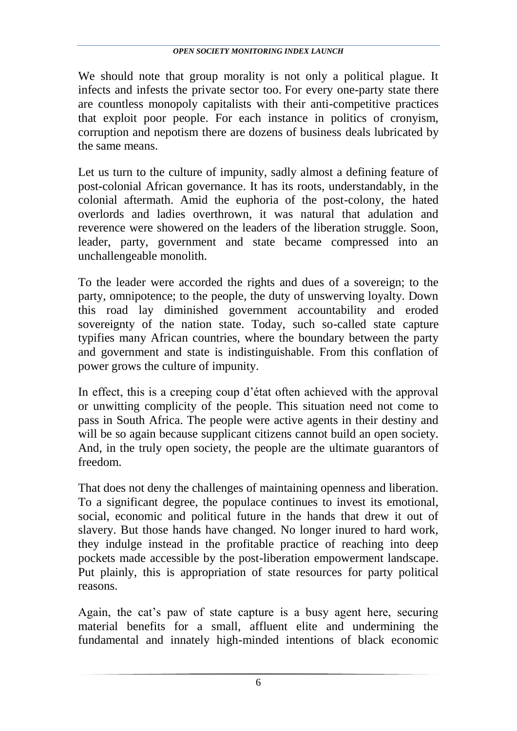We should note that group morality is not only a political plague. It infects and infests the private sector too. For every one-party state there are countless monopoly capitalists with their anti-competitive practices that exploit poor people. For each instance in politics of cronyism, corruption and nepotism there are dozens of business deals lubricated by the same means.

Let us turn to the culture of impunity, sadly almost a defining feature of post-colonial African governance. It has its roots, understandably, in the colonial aftermath. Amid the euphoria of the post-colony, the hated overlords and ladies overthrown, it was natural that adulation and reverence were showered on the leaders of the liberation struggle. Soon, leader, party, government and state became compressed into an unchallengeable monolith.

To the leader were accorded the rights and dues of a sovereign; to the party, omnipotence; to the people, the duty of unswerving loyalty. Down this road lay diminished government accountability and eroded sovereignty of the nation state. Today, such so-called state capture typifies many African countries, where the boundary between the party and government and state is indistinguishable. From this conflation of power grows the culture of impunity.

In effect, this is a creeping coup d"état often achieved with the approval or unwitting complicity of the people. This situation need not come to pass in South Africa. The people were active agents in their destiny and will be so again because supplicant citizens cannot build an open society. And, in the truly open society, the people are the ultimate guarantors of freedom.

That does not deny the challenges of maintaining openness and liberation. To a significant degree, the populace continues to invest its emotional, social, economic and political future in the hands that drew it out of slavery. But those hands have changed. No longer inured to hard work, they indulge instead in the profitable practice of reaching into deep pockets made accessible by the post-liberation empowerment landscape. Put plainly, this is appropriation of state resources for party political reasons.

Again, the cat"s paw of state capture is a busy agent here, securing material benefits for a small, affluent elite and undermining the fundamental and innately high-minded intentions of black economic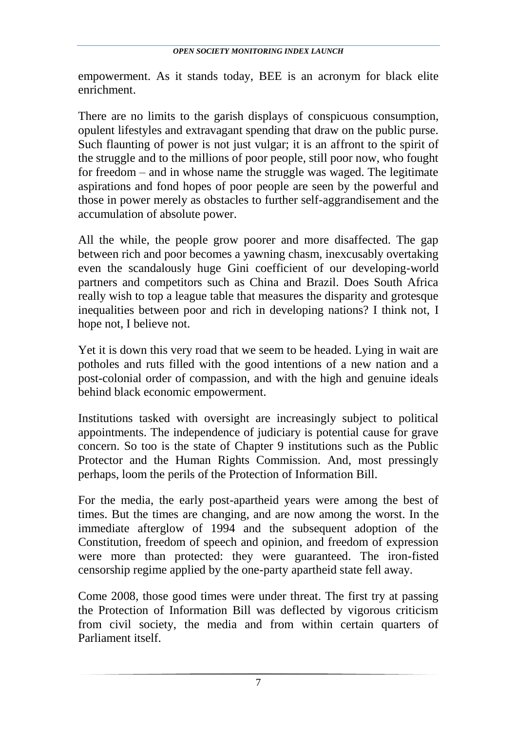empowerment. As it stands today, BEE is an acronym for black elite enrichment.

There are no limits to the garish displays of conspicuous consumption, opulent lifestyles and extravagant spending that draw on the public purse. Such flaunting of power is not just vulgar; it is an affront to the spirit of the struggle and to the millions of poor people, still poor now, who fought for freedom – and in whose name the struggle was waged. The legitimate aspirations and fond hopes of poor people are seen by the powerful and those in power merely as obstacles to further self-aggrandisement and the accumulation of absolute power.

All the while, the people grow poorer and more disaffected. The gap between rich and poor becomes a yawning chasm, inexcusably overtaking even the scandalously huge Gini coefficient of our developing-world partners and competitors such as China and Brazil. Does South Africa really wish to top a league table that measures the disparity and grotesque inequalities between poor and rich in developing nations? I think not, I hope not, I believe not.

Yet it is down this very road that we seem to be headed. Lying in wait are potholes and ruts filled with the good intentions of a new nation and a post-colonial order of compassion, and with the high and genuine ideals behind black economic empowerment.

Institutions tasked with oversight are increasingly subject to political appointments. The independence of judiciary is potential cause for grave concern. So too is the state of Chapter 9 institutions such as the Public Protector and the Human Rights Commission. And, most pressingly perhaps, loom the perils of the Protection of Information Bill.

For the media, the early post-apartheid years were among the best of times. But the times are changing, and are now among the worst. In the immediate afterglow of 1994 and the subsequent adoption of the Constitution, freedom of speech and opinion, and freedom of expression were more than protected: they were guaranteed. The iron-fisted censorship regime applied by the one-party apartheid state fell away.

Come 2008, those good times were under threat. The first try at passing the Protection of Information Bill was deflected by vigorous criticism from civil society, the media and from within certain quarters of Parliament itself.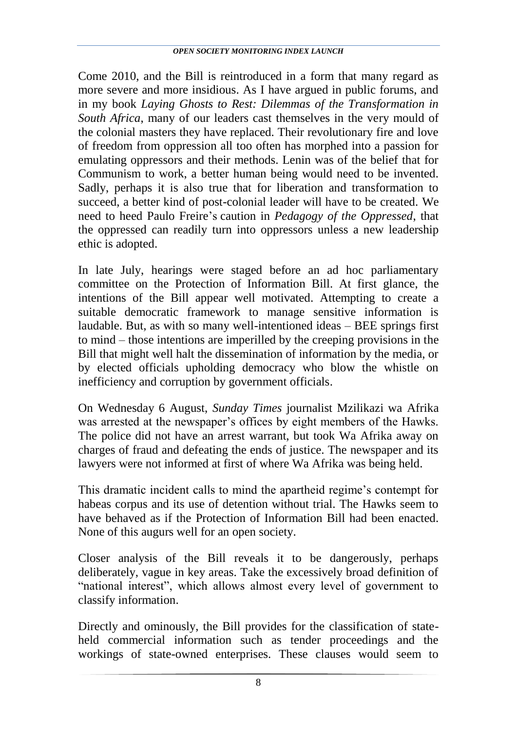Come 2010, and the Bill is reintroduced in a form that many regard as more severe and more insidious. As I have argued in public forums, and in my book *Laying Ghosts to Rest: Dilemmas of the Transformation in South Africa*, many of our leaders cast themselves in the very mould of the colonial masters they have replaced. Their revolutionary fire and love of freedom from oppression all too often has morphed into a passion for emulating oppressors and their methods. Lenin was of the belief that for Communism to work, a better human being would need to be invented. Sadly, perhaps it is also true that for liberation and transformation to succeed, a better kind of post-colonial leader will have to be created. We need to heed Paulo Freire"s caution in *Pedagogy of the Oppressed*, that the oppressed can readily turn into oppressors unless a new leadership ethic is adopted.

In late July, hearings were staged before an ad hoc parliamentary committee on the Protection of Information Bill. At first glance, the intentions of the Bill appear well motivated. Attempting to create a suitable democratic framework to manage sensitive information is laudable. But, as with so many well-intentioned ideas – BEE springs first to mind – those intentions are imperilled by the creeping provisions in the Bill that might well halt the dissemination of information by the media, or by elected officials upholding democracy who blow the whistle on inefficiency and corruption by government officials.

On Wednesday 6 August, *Sunday Times* journalist Mzilikazi wa Afrika was arrested at the newspaper's offices by eight members of the Hawks. The police did not have an arrest warrant, but took Wa Afrika away on charges of fraud and defeating the ends of justice. The newspaper and its lawyers were not informed at first of where Wa Afrika was being held.

This dramatic incident calls to mind the apartheid regime"s contempt for habeas corpus and its use of detention without trial. The Hawks seem to have behaved as if the Protection of Information Bill had been enacted. None of this augurs well for an open society.

Closer analysis of the Bill reveals it to be dangerously, perhaps deliberately, vague in key areas. Take the excessively broad definition of "national interest", which allows almost every level of government to classify information.

Directly and ominously, the Bill provides for the classification of stateheld commercial information such as tender proceedings and the workings of state-owned enterprises. These clauses would seem to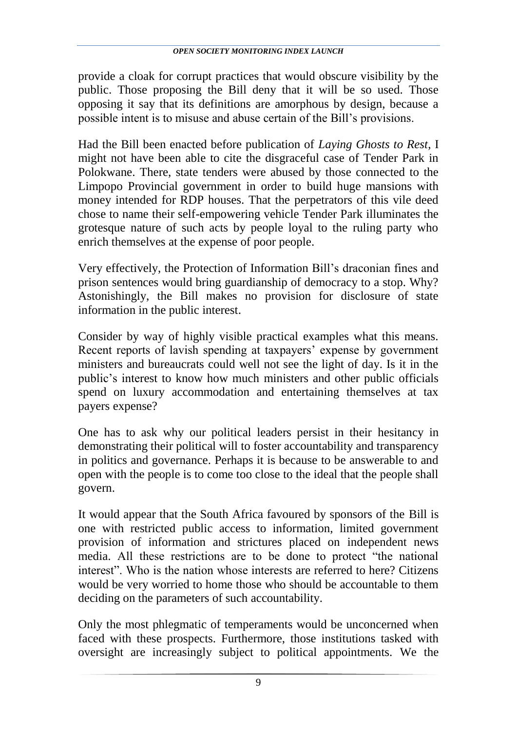provide a cloak for corrupt practices that would obscure visibility by the public. Those proposing the Bill deny that it will be so used. Those opposing it say that its definitions are amorphous by design, because a possible intent is to misuse and abuse certain of the Bill"s provisions.

Had the Bill been enacted before publication of *Laying Ghosts to Rest*, I might not have been able to cite the disgraceful case of Tender Park in Polokwane. There, state tenders were abused by those connected to the Limpopo Provincial government in order to build huge mansions with money intended for RDP houses. That the perpetrators of this vile deed chose to name their self-empowering vehicle Tender Park illuminates the grotesque nature of such acts by people loyal to the ruling party who enrich themselves at the expense of poor people.

Very effectively, the Protection of Information Bill"s draconian fines and prison sentences would bring guardianship of democracy to a stop. Why? Astonishingly, the Bill makes no provision for disclosure of state information in the public interest.

Consider by way of highly visible practical examples what this means. Recent reports of lavish spending at taxpayers' expense by government ministers and bureaucrats could well not see the light of day. Is it in the public"s interest to know how much ministers and other public officials spend on luxury accommodation and entertaining themselves at tax payers expense?

One has to ask why our political leaders persist in their hesitancy in demonstrating their political will to foster accountability and transparency in politics and governance. Perhaps it is because to be answerable to and open with the people is to come too close to the ideal that the people shall govern.

It would appear that the South Africa favoured by sponsors of the Bill is one with restricted public access to information, limited government provision of information and strictures placed on independent news media. All these restrictions are to be done to protect "the national interest". Who is the nation whose interests are referred to here? Citizens would be very worried to home those who should be accountable to them deciding on the parameters of such accountability.

Only the most phlegmatic of temperaments would be unconcerned when faced with these prospects. Furthermore, those institutions tasked with oversight are increasingly subject to political appointments. We the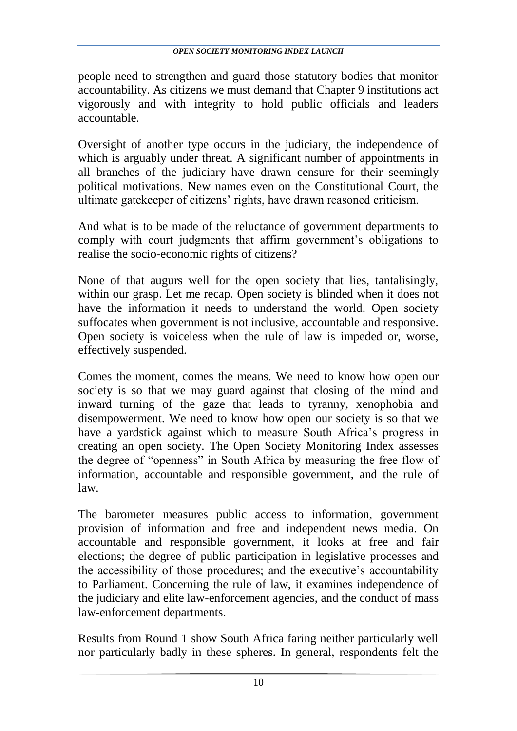people need to strengthen and guard those statutory bodies that monitor accountability. As citizens we must demand that Chapter 9 institutions act vigorously and with integrity to hold public officials and leaders accountable.

Oversight of another type occurs in the judiciary, the independence of which is arguably under threat. A significant number of appointments in all branches of the judiciary have drawn censure for their seemingly political motivations. New names even on the Constitutional Court, the ultimate gatekeeper of citizens" rights, have drawn reasoned criticism.

And what is to be made of the reluctance of government departments to comply with court judgments that affirm government's obligations to realise the socio-economic rights of citizens?

None of that augurs well for the open society that lies, tantalisingly, within our grasp. Let me recap. Open society is blinded when it does not have the information it needs to understand the world. Open society suffocates when government is not inclusive, accountable and responsive. Open society is voiceless when the rule of law is impeded or, worse, effectively suspended.

Comes the moment, comes the means. We need to know how open our society is so that we may guard against that closing of the mind and inward turning of the gaze that leads to tyranny, xenophobia and disempowerment. We need to know how open our society is so that we have a vardstick against which to measure South Africa's progress in creating an open society. The Open Society Monitoring Index assesses the degree of "openness" in South Africa by measuring the free flow of information, accountable and responsible government, and the rule of law.

The barometer measures public access to information, government provision of information and free and independent news media. On accountable and responsible government, it looks at free and fair elections; the degree of public participation in legislative processes and the accessibility of those procedures; and the executive"s accountability to Parliament. Concerning the rule of law, it examines independence of the judiciary and elite law-enforcement agencies, and the conduct of mass law-enforcement departments.

Results from Round 1 show South Africa faring neither particularly well nor particularly badly in these spheres. In general, respondents felt the